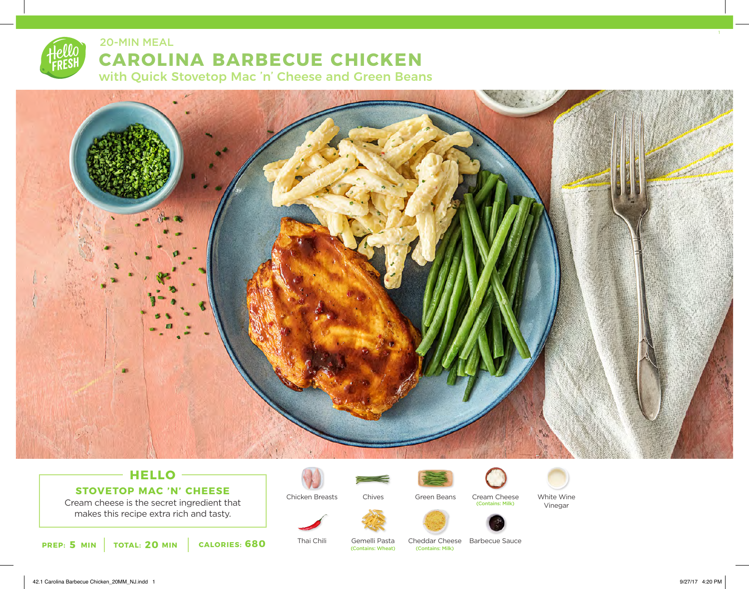20-MIN MEAL

## **CAROLINA BARBECUE CHICKEN**

with Quick Stovetop Mac 'n' Cheese and Green Beans



## **HELLO STOVETOP MAC 'N' CHEESE**

Cream cheese is the secret ingredient that makes this recipe extra rich and tasty.





Chicken Breasts

Thai Chili



Chives



Cream Cheese (Contains: Milk)



White Wine Vinegar



Gemelli Pasta<br>(Contains: Wheat)

Cheddar Cheese Barbecue Sauce